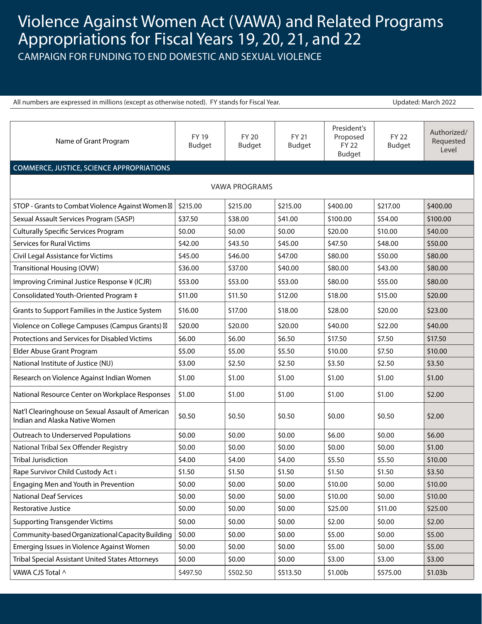## Violence Against Women Act (VAWA) and Related Programs Appropriations for Fiscal Years 19, 20, 21, and 22

CAMPAIGN FOR FUNDING TO END DOMESTIC AND SEXUAL VIOLENCE

| All numbers are expressed in millions (except as otherwise noted). FY stands for Fiscal Year. |                               |                               |                        |                                                          | Updated: March 2022           |                                   |  |  |  |
|-----------------------------------------------------------------------------------------------|-------------------------------|-------------------------------|------------------------|----------------------------------------------------------|-------------------------------|-----------------------------------|--|--|--|
|                                                                                               |                               |                               |                        |                                                          |                               |                                   |  |  |  |
| Name of Grant Program                                                                         | <b>FY 19</b><br><b>Budget</b> | <b>FY 20</b><br><b>Budget</b> | FY 21<br><b>Budget</b> | President's<br>Proposed<br><b>FY 22</b><br><b>Budget</b> | <b>FY 22</b><br><b>Budget</b> | Authorized/<br>Requested<br>Level |  |  |  |
| <b>COMMERCE, JUSTICE, SCIENCE APPROPRIATIONS</b>                                              |                               |                               |                        |                                                          |                               |                                   |  |  |  |
| <b>VAWA PROGRAMS</b>                                                                          |                               |                               |                        |                                                          |                               |                                   |  |  |  |
| STOP - Grants to Combat Violence Against Women                                                | \$215.00                      | \$215.00                      | \$215.00               | \$400.00                                                 | \$217.00                      | \$400.00                          |  |  |  |
| Sexual Assault Services Program (SASP)                                                        | \$37.50                       | \$38.00                       | \$41.00                | \$100.00                                                 | \$54.00                       | \$100.00                          |  |  |  |
| <b>Culturally Specific Services Program</b>                                                   | \$0.00                        | \$0.00                        | \$0.00                 | \$20.00                                                  | \$10.00                       | \$40.00                           |  |  |  |
| <b>Services for Rural Victims</b>                                                             | \$42.00                       | \$43.50                       | \$45.00                | \$47.50                                                  | \$48.00                       | \$50.00                           |  |  |  |
| Civil Legal Assistance for Victims                                                            | \$45.00                       | \$46.00                       | \$47.00                | \$80.00                                                  | \$50.00                       | \$80.00                           |  |  |  |
| Transitional Housing (OVW)                                                                    | \$36.00                       | \$37.00                       | \$40.00                | \$80.00                                                  | \$43.00                       | \$80.00                           |  |  |  |
| Improving Criminal Justice Response ¥ (ICJR)                                                  | \$53.00                       | \$53.00                       | \$53.00                | \$80.00                                                  | \$55.00                       | \$80.00                           |  |  |  |
| Consolidated Youth-Oriented Program ‡                                                         | \$11.00                       | \$11.50                       | \$12.00                | \$18.00                                                  | \$15.00                       | \$20.00                           |  |  |  |
| Grants to Support Families in the Justice System                                              | \$16.00                       | \$17.00                       | \$18.00                | \$28.00                                                  | \$20.00                       | \$23.00                           |  |  |  |
| Violence on College Campuses (Campus Grants)                                                  | \$20.00                       | \$20.00                       | \$20.00                | \$40.00                                                  | \$22.00                       | \$40.00                           |  |  |  |
| Protections and Services for Disabled Victims                                                 | \$6.00                        | \$6.00                        | \$6.50                 | \$17.50                                                  | \$7.50                        | \$17.50                           |  |  |  |
| Elder Abuse Grant Program                                                                     | \$5.00                        | \$5.00                        | \$5.50                 | \$10.00                                                  | \$7.50                        | \$10.00                           |  |  |  |
| National Institute of Justice (NIJ)                                                           | \$3.00                        | \$2.50                        | \$2.50                 | \$3.50                                                   | \$2.50                        | \$3.50                            |  |  |  |
| Research on Violence Against Indian Women                                                     | \$1.00                        | \$1.00                        | \$1.00                 | \$1.00                                                   | \$1.00                        | \$1.00                            |  |  |  |
| National Resource Center on Workplace Responses                                               | \$1.00                        | \$1.00                        | \$1.00                 | \$1.00                                                   | \$1.00                        | \$2.00                            |  |  |  |
| Nat'l Clearinghouse on Sexual Assault of American<br>Indian and Alaska Native Women           | \$0.50                        | \$0.50                        | \$0.50                 | \$0.00                                                   | \$0.50                        | \$2.00                            |  |  |  |
| Outreach to Underserved Populations                                                           | \$0.00                        | \$0.00                        | \$0.00                 | \$6.00                                                   | \$0.00                        | \$6.00                            |  |  |  |
| National Tribal Sex Offender Registry                                                         | \$0.00                        | \$0.00                        | \$0.00                 | \$0.00                                                   | \$0.00                        | \$1.00                            |  |  |  |
| <b>Tribal Jurisdiction</b>                                                                    | \$4.00                        | \$4.00                        | \$4.00                 | \$5.50                                                   | \$5.50                        | \$10.00                           |  |  |  |
| Rape Survivor Child Custody Act i                                                             | \$1.50                        | \$1.50                        | \$1.50                 | \$1.50                                                   | \$1.50                        | \$3.50                            |  |  |  |
| Engaging Men and Youth in Prevention                                                          | \$0.00                        | \$0.00                        | \$0.00                 | \$10.00                                                  | \$0.00                        | \$10.00                           |  |  |  |
| <b>National Deaf Services</b>                                                                 | \$0.00                        | \$0.00                        | \$0.00                 | \$10.00                                                  | \$0.00                        | \$10.00                           |  |  |  |
| Restorative Justice                                                                           | \$0.00                        | \$0.00                        | \$0.00                 | \$25.00                                                  | \$11.00                       | \$25.00                           |  |  |  |
| <b>Supporting Transgender Victims</b>                                                         | \$0.00                        | \$0.00                        | \$0.00                 | \$2.00                                                   | \$0.00                        | \$2.00                            |  |  |  |
| Community-based Organizational Capacity Building                                              | \$0.00                        | \$0.00                        | \$0.00                 | \$5.00                                                   | \$0.00                        | \$5.00                            |  |  |  |
| Emerging Issues in Violence Against Women                                                     | \$0.00                        | \$0.00                        | \$0.00                 | \$5.00                                                   | \$0.00                        | \$5.00                            |  |  |  |
| Tribal Special Assistant United States Attorneys                                              | \$0.00                        | \$0.00                        | \$0.00                 | \$3.00                                                   | \$3.00                        | \$3.00                            |  |  |  |
| VAWA CJS Total ^                                                                              | \$497.50                      | \$502.50                      | \$513.50               | \$1.00b                                                  | \$575.00                      | \$1.03b                           |  |  |  |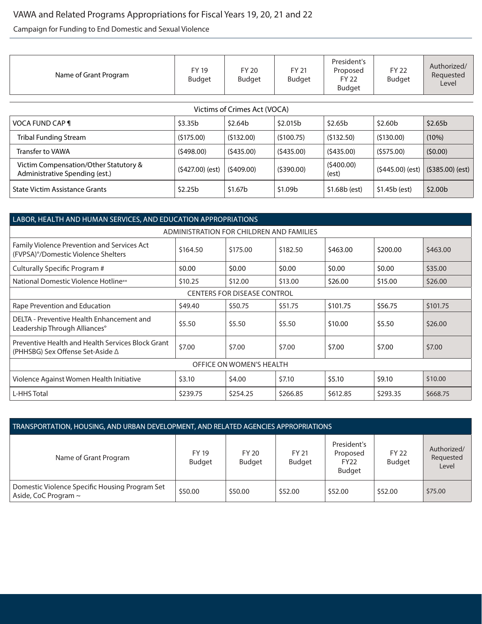## VAWA and Related Programs Appropriations for Fiscal Years 19, 20, 21 and 22

Campaign for Funding to End Domestic and Sexual Violence

| Name of Grant Program                                                   | <b>FY 19</b><br><b>Budget</b> | FY 20<br><b>Budget</b> | <b>FY 21</b><br>Budget | President's<br>Proposed<br>FY 22<br>Budget | <b>FY 22</b><br>Budget | Authorized/<br>Requested<br>Level |  |  |
|-------------------------------------------------------------------------|-------------------------------|------------------------|------------------------|--------------------------------------------|------------------------|-----------------------------------|--|--|
|                                                                         |                               |                        |                        |                                            |                        |                                   |  |  |
| Victims of Crimes Act (VOCA)                                            |                               |                        |                        |                                            |                        |                                   |  |  |
| <b>VOCA FUND CAP ¶</b>                                                  | \$3.35b                       | \$2.64b                | \$2.015b               | \$2.65b                                    | \$2.60 <sub>b</sub>    | \$2.65 <sub>b</sub>               |  |  |
| <b>Tribal Funding Stream</b>                                            | (5175.00)                     | (5132.00)              | (5100.75)              | (5132.50)                                  | (5130.00)              | (10%)                             |  |  |
| <b>Transfer to VAWA</b>                                                 | (5498.00)                     | (5435.00)              | (5435.00)              | (5435.00)                                  | (5575.00)              | (50.00)                           |  |  |
| Victim Compensation/Other Statutory &<br>Administrative Spending (est.) | (\$427.00) (est)              | (5409.00)              | (5390.00)              | (5400.00)<br>(est)                         | $(5445.00)$ (est)      | $(5385.00)$ (est)                 |  |  |
| State Victim Assistance Grants                                          | \$2.25b                       | \$1.67b                | \$1.09b                | $$1.68b$ (est)                             | \$1.45b (est)          | \$2.00 <sub>b</sub>               |  |  |

| LABOR, HEALTH AND HUMAN SERVICES, AND EDUCATION APPROPRIATIONS                         |          |          |          |          |          |          |  |  |
|----------------------------------------------------------------------------------------|----------|----------|----------|----------|----------|----------|--|--|
| ADMINISTRATION FOR CHILDREN AND FAMILIES                                               |          |          |          |          |          |          |  |  |
| Family Violence Prevention and Services Act<br>(FVPSA)°/Domestic Violence Shelters     | \$164.50 | \$175.00 | \$182.50 | \$463.00 | \$200.00 | \$463.00 |  |  |
| Culturally Specific Program #                                                          | \$0.00   | \$0.00   | \$0.00   | \$0.00   | \$0.00   | \$35.00  |  |  |
| National Domestic Violence Hotline**                                                   | \$10.25  | \$12.00  | \$13.00  | \$26.00  | \$15.00  | \$26.00  |  |  |
| <b>CENTERS FOR DISEASE CONTROL</b>                                                     |          |          |          |          |          |          |  |  |
| Rape Prevention and Education                                                          | \$49.40  | \$50.75  | \$51.75  | \$101.75 | \$56.75  | \$101.75 |  |  |
| DELTA - Preventive Health Enhancement and<br>Leadership Through Alliances <sup>o</sup> | \$5.50   | \$5.50   | \$5.50   | \$10.00  | \$5.50   | \$26.00  |  |  |
| Preventive Health and Health Services Block Grant<br>(PHHSBG) Sex Offense Set-Aside ∆  | \$7.00   | \$7.00   | \$7.00   | \$7.00   | \$7.00   | \$7.00   |  |  |
| OFFICE ON WOMEN'S HEALTH                                                               |          |          |          |          |          |          |  |  |
| Violence Against Women Health Initiative                                               | \$3.10   | \$4.00   | \$7.10   | \$5.10   | \$9.10   | \$10.00  |  |  |
| L-HHS Total                                                                            | \$239.75 | \$254.25 | \$266.85 | \$612.85 | \$293.35 | \$668.75 |  |  |

| TRANSPORTATION, HOUSING, AND URBAN DEVELOPMENT, AND RELATED AGENCIES APPROPRIATIONS |                               |                               |                        |                                                         |                               |                                   |  |
|-------------------------------------------------------------------------------------|-------------------------------|-------------------------------|------------------------|---------------------------------------------------------|-------------------------------|-----------------------------------|--|
| Name of Grant Program                                                               | <b>FY 19</b><br><b>Budget</b> | <b>FY 20</b><br><b>Budget</b> | FY 21<br><b>Budget</b> | President's<br>Proposed<br><b>FY22</b><br><b>Budget</b> | <b>FY 22</b><br><b>Budget</b> | Authorized/<br>Requested<br>Level |  |
| Domestic Violence Specific Housing Program Set<br>Aside, CoC Program $\sim$         | \$50.00                       | \$50.00                       | \$52.00                | \$52.00                                                 | \$52.00                       | \$75.00                           |  |